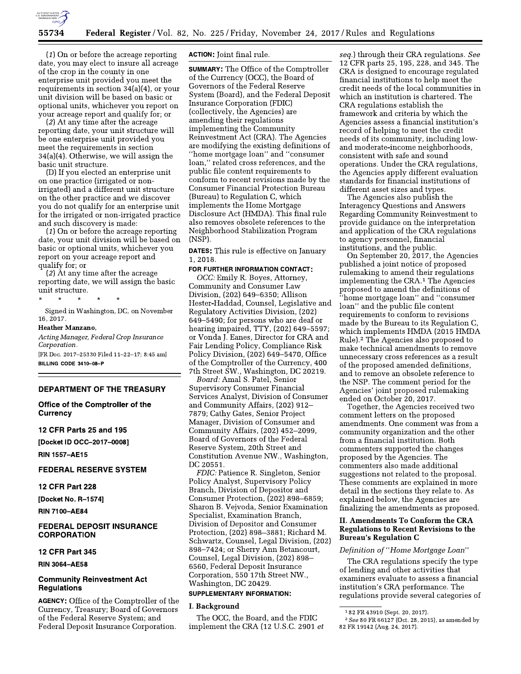

 $(1)$  On or before the acreage reporting date, you may elect to insure all acreage of the crop in the county in one enterprise unit provided you meet the requirements in section  $34(a)(4)$ , or your unit division will be based on basic or optional units, whichever you report on your acreage report and qualify for; or

(2) At any time after the acreage reporting date, your unit structure will be one enterprise unit provided you meet the requirements in section 34(a)(4). Otherwise, we will assign the basic unit structure.

(D) If you elected an enterprise unit on one practice (irrigated or nonirrigated) and a different unit structure on the other practice and we discover you do not qualify for an enterprise unit for the irrigated or non-irrigated practice and such discovery is made:

 $(1)$  On or before the acreage reporting date, your unit division will be based on basic or optional units, whichever you report on your acreage report and qualify for; or

 $(2)$   $\tilde{A}$ t any time after the acreage reporting date, we will assign the basic unit structure.

Signed in Washington, DC, on November 16.2017.

#### Heather Manzano,

Acting Manager, Federal Crop Insurance Corporation.

[FR Doc. 2017-25330 Filed 11-22-17; 8:45 am] BILLING CODE 3410-08-P

# **DEPARTMENT OF THE TREASURY**

Office of the Comptroller of the **Currency** 

# 12 CFR Parts 25 and 195

[Docket ID OCC-2017-0008]

**RIN 1557-AE15** 

# **FEDERAL RESERVE SYSTEM**

### **12 CFR Part 228**

[Docket No. R-1574]

**RIN 7100-AE84** 

# **FEDERAL DEPOSIT INSURANCE CORPORATION**

## 12 CFR Part 345

**RIN 3064-AE58** 

# **Community Reinvestment Act Regulations**

**AGENCY:** Office of the Comptroller of the Currency, Treasury; Board of Governors of the Federal Reserve System; and Federal Deposit Insurance Corporation.

**ACTION:** Joint final rule.

**SUMMARY:** The Office of the Comptroller of the Currency (OCC), the Board of Governors of the Federal Reserve System (Board), and the Federal Deposit **Insurance Corporation (FDIC)** (collectively, the Agencies) are amending their regulations implementing the Community Reinvestment Act (CRA). The Agencies are modifying the existing definitions of "home mortgage loan" and "consumer loan," related cross references, and the public file content requirements to conform to recent revisions made by the Consumer Financial Protection Bureau (Bureau) to Regulation C, which implements the Home Mortgage Disclosure Act (HMDA). This final rule also removes obsolete references to the Neighborhood Stabilization Program (NSP).

**DATES:** This rule is effective on January 1, 2018.

#### FOR FURTHER INFORMATION CONTACT:

OCC: Emily R. Boyes, Attorney, Community and Consumer Law Division, (202) 649–6350; Allison Hester-Haddad, Counsel, Legislative and Regulatory Activities Division, (202) 649-5490; for persons who are deaf or hearing impaired, TTY, (202) 649-5597; or Vonda J. Eanes, Director for CRA and Fair Lending Policy, Compliance Risk Policy Division, (202) 649-5470, Office of the Comptroller of the Currency, 400 7th Street SW., Washington, DC 20219.

Board: Amal S. Patel, Senior Supervisory Consumer Financial Services Analyst, Division of Consumer and Community Affairs, (202) 912-7879; Cathy Gates, Senior Project Manager, Division of Consumer and Community Affairs, (202) 452-2099, Board of Governors of the Federal Reserve System, 20th Street and Constitution Avenue NW., Washington, DC 20551.

FDIC: Patience R. Singleton, Senior Policy Analyst, Supervisory Policy Branch, Division of Depositor and Consumer Protection, (202) 898-6859; Sharon B. Vejvoda, Senior Examination Specialist, Examination Branch, Division of Depositor and Consumer Protection, (202) 898-3881; Richard M. Schwartz, Counsel, Legal Division, (202) 898-7424; or Sherry Ann Betancourt, Counsel, Legal Division, (202) 898-6560, Federal Deposit Insurance Corporation, 550 17th Street NW., Washington, DC 20429.

# **SUPPLEMENTARY INFORMATION:**

#### I. Background

The OCC, the Board, and the FDIC implement the CRA (12 U.S.C. 2901 et

seq.) through their CRA regulations. See 12 CFR parts 25, 195, 228, and 345. The CRA is designed to encourage regulated financial institutions to help meet the credit needs of the local communities in which an institution is chartered. The CRA regulations establish the framework and criteria by which the Agencies assess a financial institution's record of helping to meet the credit needs of its community, including lowand moderate-income neighborhoods, consistent with safe and sound operations. Under the CRA regulations, the Agencies apply different evaluation standards for financial institutions of different asset sizes and types.

The Agencies also publish the Interagency Questions and Answers Regarding Community Reinvestment to provide guidance on the interpretation and application of the CRA regulations to agency personnel, financial institutions, and the public.

On September 20, 2017, the Agencies published a joint notice of proposed rulemaking to amend their regulations implementing the CRA.<sup>1</sup> The Agencies proposed to amend the definitions of "home mortgage loan" and "consumer loan" and the public file content requirements to conform to revisions made by the Bureau to its Regulation C, which implements HMDA (2015 HMDA Rule).<sup>2</sup> The Agencies also proposed to make technical amendments to remove unnecessary cross references as a result of the proposed amended definitions, and to remove an obsolete reference to the NSP. The comment period for the Agencies' joint proposed rulemaking ended on October 20, 2017.

Together, the Agencies received two comment letters on the proposed amendments. One comment was from a community organization and the other from a financial institution. Both commenters supported the changes proposed by the Agencies. The commenters also made additional suggestions not related to the proposal. These comments are explained in more detail in the sections they relate to. As explained below, the Agencies are finalizing the amendments as proposed.

# II. Amendments To Conform the CRA **Regulations to Recent Revisions to the Bureau's Regulation C**

#### Definition of "Home Mortgage Loan"

The CRA regulations specify the type of lending and other activities that examiners evaluate to assess a financial institution's CRA performance. The regulations provide several categories of

<sup>&</sup>lt;sup>1</sup>82 FR 43910 (Sept. 20, 2017).

<sup>&</sup>lt;sup>2</sup> See 80 FR 66127 (Oct. 28, 2015), as amended by 82 FR 19142 (Aug. 24, 2017).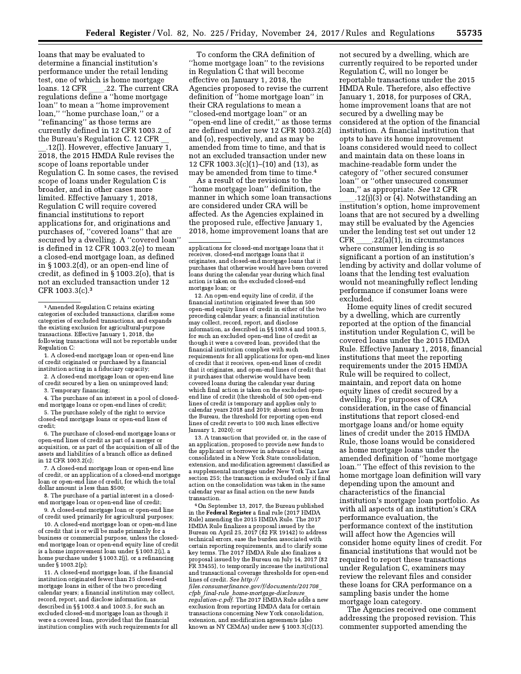loans that may be evaluated to determine a financial institution's performance under the retail lending test, one of which is home mortgage .22. The current CRA loans. 12 CFR regulations define a "home mortgage loan" to mean a "home improvement loan," "home purchase loan," or a "refinancing" as those terms are currently defined in 12 CFR 1003.2 of the Bureau's Regulation C. 12 CFR

.12(l). However, effective January 1, 2018, the 2015 HMDA Rule revises the scope of loans reportable under Regulation C. In some cases, the revised scope of loans under Regulation C is broader, and in other cases more limited. Effective January 1, 2018, Regulation C will require covered financial institutions to report applications for, and originations and purchases of, "covered loans" that are secured by a dwelling. A "covered loan" is defined in 12 CFR 1003.2(e) to mean a closed-end mortgage loan, as defined in  $\S 1003.2$ (d), or an open-end line of credit, as defined in  $\S 1003.2(0)$ , that is not an excluded transaction under 12 CFR 1003.3(c).<sup>3</sup>

1. A closed-end mortgage loan or open-end line of credit originated or purchased by a financial institution acting in a fiduciary capacity;

2. A closed-end mortgage loan or open-end line of credit secured by a lien on unimproved land;

3. Temporary financing;

4. The purchase of an interest in a pool of closedend mortgage loans or open-end lines of credit;

5. The purchase solely of the right to service closed-end mortgage loans or open-end lines of credit:

6. The purchase of closed-end mortgage loans or open-end lines of credit as part of a merger or acquisition, or as part of the acquisition of all of the assets and liabilities of a branch office as defined in 12 CFR 1003.2(c);

7. A closed-end mortgage loan or open-end line of credit, or an application of a closed-end mortgage loan or open-end line of credit, for which the total dollar amount is less than \$500:

8. The purchase of a partial interest in a closedend mortgage loan or open-end line of credit;

9. A closed-end mortgage loan or open-end line of credit used primarily for agricultural purposes;

10. A closed-end mortgage loan or open-end line of credit that is or will be made primarily for a business or commercial purpose, unless the closedend mortgage loan or open-end equity line of credit is a home improvement loan under § 1003.2(i), a home purchase under § 1003.2(j), or a refinancing under § 1003.2(p);

11. A closed-end mortgage loan, if the financial institution originated fewer than 25 closed-end mortgage loans in either of the two preceding calendar years; a financial institution may collect, record, report, and disclose information, as described in §§ 1003.4 and 1003.5, for such an excluded closed-end mortgage loan as though it were a covered loan, provided that the financial institution complies with such requirements for all

To conform the CRA definition of "home mortgage loan" to the revisions in Regulation C that will become effective on January 1, 2018, the Agencies proposed to revise the current definition of "home mortgage loan" in their CRA regulations to mean a closed-end mortgage loan" or an' "open-end line of credit," as those terms are defined under new 12 CFR 1003.2(d) and (o), respectively, and as may be amended from time to time, and that is not an excluded transaction under new 12 CFR 1003.3(c)(1)–(10) and (13), as may be amended from time to time.<sup>4</sup>

As a result of the revisions to the "home mortgage loan" definition, the manner in which some loan transactions are considered under CRA will be affected. As the Agencies explained in the proposed rule, effective January 1, 2018, home improvement loans that are

12. An open-end equity line of credit, if the financial institution originated fewer than 500 open-end equity lines of credit in either of the two preceding calendar years; a financial institution may collect, record, report, and disclose information, as described in §§ 1003.4 and 1003.5, for such an excluded open-end line of credit as though it were a covered loan, provided that the financial institution complies with such requirements for all applications for open-end lines of credit that it receives, open-end lines of credit that it originates, and open-end lines of credit that it purchases that otherwise would have been covered loans during the calendar year during which final action is taken on the excluded openend line of credit (the threshold of 500 open-end lines of credit is temporary and applies only to calendar years 2018 and 2019; absent action from the Bureau, the threshold for reporting open-end lines of credit reverts to 100 such lines effective January 1, 2020); or

13. A transaction that provided or, in the case of an application, proposed to provide new funds to the applicant or borrower in advance of being consolidated in a New York State consolidation, extension, and modification agreement classified as a supplemental mortgage under New York Tax Law section 255; the transaction is excluded only if final action on the consolidation was taken in the same calendar year as final action on the new funds transaction.

<sup>4</sup>On September 13, 2017, the Bureau published in the Federal Register a final rule (2017 HMDA Rule) amending the 2015 HMDA Rule. The 2017 HMDA Rule finalizes a proposal issued by the Bureau on April 25, 2017 (82 FR 19142) to address technical errors, ease the burden associated with certain reporting requirements, and to clarify some key terms. The 2017 HMDA Rule also finalizes a proposal issued by the Bureau on July 14, 2017 (82 FR 33455), to temporarily increase the institutional and transactional coverage thresholds for open-end lines of credit. See http://

files.consumerfinance.gov/f/documents/201708 cfpb\_final-rule\_home-mortgage-disclosure<br>regulation-c.pdf. The 2017 HMDA Rule adds a new exclusion from reporting HMDA data for certain transactions concerning New York consolidation, extension, and modification agreements (also known as NY CEMAs) under new § 1003.3(c)(13).

not secured by a dwelling, which are currently required to be reported under Regulation C, will no longer be reportable transactions under the 2015 HMDA Rule. Therefore, also effective January 1, 2018, for purposes of CRA, home improvement loans that are not secured by a dwelling may be considered at the option of the financial institution. A financial institution that opts to have its home improvement loans considered would need to collect and maintain data on these loans in machine-readable form under the category of "other secured consumer loan" or "other unsecured consumer loan," as appropriate. See 12 CFR

.12(i)(3) or  $\overline{4}$ ). Notwithstanding an institution's option, home improvement loans that are not secured by a dwelling may still be evaluated by the Agencies under the lending test set out under 12 **CFR**  $.22(a)(1)$ , in circumstances where consumer lending is so significant a portion of an institution's lending by activity and dollar volume of loans that the lending test evaluation would not meaningfully reflect lending performance if consumer loans were excluded.

Home equity lines of credit secured by a dwelling, which are currently reported at the option of the financial institution under Regulation C, will be covered loans under the 2015 HMDA Rule. Effective January 1, 2018, financial institutions that meet the reporting requirements under the 2015 HMDA Rule will be required to collect, maintain, and report data on home equity lines of credit secured by a dwelling. For purposes of CRA consideration, in the case of financial institutions that report closed-end mortgage loans and/or home equity lines of credit under the 2015 HMDA Rule, those loans would be considered as home mortgage loans under the amended definition of "home mortgage loan." The effect of this revision to the home mortgage loan definition will vary depending upon the amount and characteristics of the financial institution's mortgage loan portfolio. As with all aspects of an institution's CRA performance evaluation, the performance context of the institution will affect how the Agencies will consider home equity lines of credit. For financial institutions that would not be required to report these transactions under Regulation C, examiners may review the relevant files and consider these loans for CRA performance on a sampling basis under the home mortgage loan category.

The Agencies received one comment addressing the proposed revision. This commenter supported amending the

<sup>&</sup>lt;sup>3</sup> Amended Regulation C retains existing categories of excluded transactions, clarifies some categories of excluded transactions, and expands the existing exclusion for agricultural-purpos transactions. Effective January 1, 2018, the following transactions will not be reportable under Regulation C:

applications for closed-end mortgage loans that it receives, closed-end mortgage loans that it originates, and closed-end mortgage loans that it purchases that otherwise would have been covered loans during the calendar year during which final action is taken on the excluded closed-end mortgage loan; or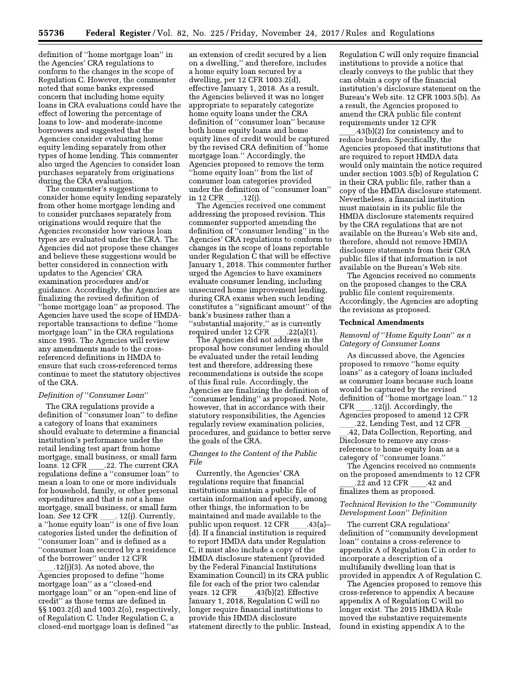definition of "home mortgage loan" in the Agencies' CRA regulations to conform to the changes in the scope of Regulation C. However, the commenter noted that some banks expressed concern that including home equity loans in CRA evaluations could have the effect of lowering the percentage of loans to low- and moderate-income borrowers and suggested that the Agencies consider evaluating home equity lending separately from other types of home lending. This commenter also urged the Agencies to consider loan purchases separately from originations during the CRA evaluation.

The commenter's suggestions to consider home equity lending separately from other home mortgage lending and to consider purchases separately from originations would require that the Agencies reconsider how various loan types are evaluated under the CRA. The Agencies did not propose these changes and believe these suggestions would be better considered in connection with updates to the Agencies' CRA examination procedures and/or guidance. Accordingly, the Agencies are finalizing the revised definition of "home mortgage loan" as proposed. The Agencies have used the scope of HMDAreportable transactions to define "home mortgage loan" in the CRA regulations since 1995. The Agencies will review any amendments made to the crossreferenced definitions in HMDA to ensure that such cross-referenced terms continue to meet the statutory objectives of the CRA.

#### Definition of "Consumer Loan"

The CRA regulations provide a definition of "consumer loan" to define a category of loans that examiners should evaluate to determine a financial institution's performance under the retail lending test apart from home mortgage, small business, or small farm loans. 12 CFR .22. The current CRA regulations define a "consumer loan" to mean a loan to one or more individuals for household, family, or other personal expenditures and that is not a home mortgage, small business, or small farm  $. 12(j)$ . Currently, loan. *See* 12 CFR a "home equity loan" is one of five loan categories listed under the definition of "consumer loan" and is defined as a "consumer loan secured by a residence of the borrower" under 12 CFR

 $.12(j)(3)$ . As noted above, the Agencies proposed to define "home mortgage loan" as a "closed-end<br>mortgage loan" or an "open-end line of credit" as those terms are defined in §§1003.2(d) and 1003.2(o), respectively, of Regulation C. Under Regulation C, a closed-end mortgage loan is defined "as

an extension of credit secured by a lien on a dwelling," and therefore, includes a home equity loan secured by a dwelling, per 12 CFR 1003.2(d), effective January 1, 2018. As a result, the Agencies believed it was no longer appropriate to separately categorize home equity loans under the CRA definition of "consumer loan" because both home equity loans and home equity lines of credit would be captured by the revised CRA definition of "home mortgage loan." Accordingly, the Agencies proposed to remove the term "home equity loan" from the list of consumer loan categories provided under the definition of "consumer loan" in 12 CFR  $.12(i)$ .

The Agencies received one comment addressing the proposed revision. This commenter supported amending the definition of "consumer lending" in the Agencies' CRA regulations to conform to changes in the scope of loans reportable under Regulation C that will be effective January 1, 2018. This commenter further urged the Agencies to have examiners evaluate consumer lending, including unsecured home improvement lending, during CRA exams when such lending constitutes a "significant amount" of the bank's business rather than a 'substantial majority," as is currently required under 12 CFR  $.22(a)(1)$ 

The Agencies did not address in the proposal how consumer lending should be evaluated under the retail lending test and therefore, addressing these recommendations is outside the scope of this final rule. Accordingly, the Agencies are finalizing the definition of "consumer lending" as proposed. Note, however, that in accordance with their statutory responsibilities, the Agencies regularly review examination policies, procedures, and guidance to better serve the goals of the CRA.

# Changes to the Content of the Public File

Currently, the Agencies' CRA regulations require that financial institutions maintain a public file of certain information and specify, among other things, the information to be maintained and made available to the public upon request. 12 CFR  $.43(a)$ (d). If a financial institution is required to report HMDA data under Regulation C, it must also include a copy of the HMDA disclosure statement (provided by the Federal Financial Institutions Examination Council) in its CRA public file for each of the prior two calendar years. 12 CFR  $.43(b)(2)$ . Effective January 1, 2018, Regulation C will no longer require financial institutions to provide this HMDA disclosure statement directly to the public. Instead, Regulation C will only require financial institutions to provide a notice that clearly conveys to the public that they can obtain a copy of the financial institution's disclosure statement on the Bureau's Web site, 12 CFR 1003.5(b), As a result, the Agencies proposed to amend the CRA public file content requirements under 12 CFR

.43(b)(2) for consistency and to reduce burden. Specifically, the Agencies proposed that institutions that are required to report HMDA data would only maintain the notice required under section 1003.5(b) of Regulation C in their CRA public file, rather than a copy of the HMDA disclosure statement. Nevertheless, a financial institution must maintain in its public file the HMDA disclosure statements required by the CRA regulations that are not available on the Bureau's Web site and, therefore, should not remove HMDA disclosure statements from their CRA public files if that information is not available on the Bureau's Web site.

The Agencies received no comments on the proposed changes to the CRA public file content requirements. Accordingly, the Agencies are adopting the revisions as proposed.

### **Technical Amendments**

# Removal of "Home Equity Loan" as a Category of Consumer Loans

As discussed above, the Agencies proposed to remove "home equity loans" as a category of loans included as consumer loans because such loans would be captured by the revised definition of "home mortgage loan." 12 **CFR**  $.12(j)$ . Accordingly, the Agencies proposed to amend 12 CFR

.22, Lending Test, and 12 CFR .42, Data Collection, Reporting, and Disclosure to remove any crossreference to home equity loan as a category of "consumer loans."

The Agencies received no comments on the proposed amendments to 12 CFR

22 and 12 CFR .42 and finalizes them as proposed.

# Technical Revision to the "Community Development Loan" Definition

The current CRA regulations' definition of "community development loan" contains a cross-reference to appendix A of Regulation C in order to incorporate a description of a multifamily dwelling loan that is provided in appendix A of Regulation C.

The Agencies proposed to remove this cross-reference to appendix A because appendix A of Regulation C will no longer exist. The 2015 HMDA Rule moved the substantive requirements found in existing appendix A to the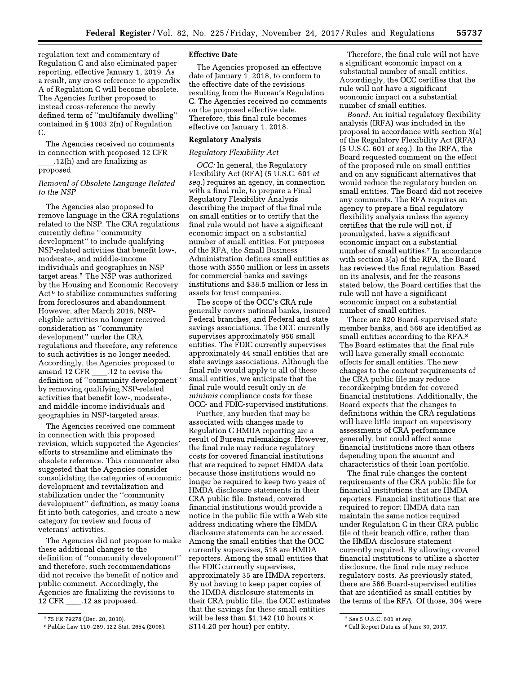regulation text and commentary of Regulation C and also eliminated paper reporting, effective January 1, 2019. As a result, any cross-reference to appendix A of Regulation C will become obsolete. The Agencies further proposed to instead cross-reference the newly defined term of "multifamily dwelling" contained in §1003.2(n) of Regulation C.

The Agencies received no comments in connection with proposed 12 CFR .12(h) and are finalizing as

proposed.

# Removal of Obsolete Language Related to the NSP

The Agencies also proposed to remove language in the CRA regulations related to the NSP. The CRA regulations currently define "community development" to include qualifying NSP-related activities that benefit low-, moderate-, and middle-income individuals and geographies in NSPtarget areas.<sup>5</sup> The NSP was authorized by the Housing and Economic Recovery  $Act<sup>6</sup>$  to stabilize communities suffering from foreclosures and abandonment. However, after March 2016, NSPeligible activities no longer received consideration as "community development" under the CRA regulations and therefore, any reference to such activities is no longer needed. Accordingly, the Agencies proposed to .12 to revise the amend 12 CFR definition of "community development" by removing qualifying NSP-related activities that benefit low-, moderate-, and middle-income individuals and geographies in NSP-targeted areas.

The Agencies received one comment in connection with this proposed revision, which supported the Agencies' efforts to streamline and eliminate the obsolete reference. This commenter also suggested that the Agencies consider consolidating the categories of economic development and revitalization and stabilization under the "community development" definition, as many loans fit into both categories, and create a new category for review and focus of veterans' activities.

The Agencies did not propose to make these additional changes to the definition of "community development" and therefore, such recommendations did not receive the benefit of notice and public comment. Accordingly, the Agencies are finalizing the revisions to 12 CFR .12 as proposed.

# **Effective Date**

The Agencies proposed an effective date of January 1, 2018, to conform to the effective date of the revisions resulting from the Bureau's Regulation C. The Agencies received no comments on the proposed effective date. Therefore, this final rule becomes effective on January 1, 2018.

# **Regulatory Analysis**

# Regulatory Flexibility Act

OCC: In general, the Regulatory Flexibility Act (RFA) (5 U.S.C. 601 et seq.) requires an agency, in connection with a final rule, to prepare a Final Regulatory Flexibility Analysis describing the impact of the final rule on small entities or to certify that the final rule would not have a significant economic impact on a substantial number of small entities. For purposes of the RFA, the Small Business Administration defines small entities as those with \$550 million or less in assets for commercial banks and savings institutions and \$38.5 million or less in assets for trust companies.

The scope of the OCC's CRA rule generally covers national banks, insured Federal branches, and Federal and state savings associations. The OCC currently supervises approximately 956 small entities. The FDIC currently supervises approximately 44 small entities that are state savings associations. Although the final rule would apply to all of these small entities, we anticipate that the final rule would result only in de minimis compliance costs for these OCC- and FDIC-supervised institutions.

Further, any burden that may be associated with changes made to Regulation C HMDA reporting are a result of Bureau rulemakings. However, the final rule may reduce regulatory costs for covered financial institutions that are required to report HMDA data because those institutions would no longer be required to keep two years of HMDA disclosure statements in their CRA public file. Instead, covered financial institutions would provide a notice in the public file with a Web site address indicating where the HMDA disclosure statements can be accessed. Among the small entities that the OCC currently supervises, 518 are HMDA reporters. Among the small entities that the FDIC currently supervises, approximately 35 are HMDA reporters. By not having to keep paper copies of the HMDA disclosure statements in their CRA public file, the OCC estimates that the savings for these small entities will be less than \$1,142 (10 hours  $\times$ \$114.20 per hour) per entity.

Therefore, the final rule will not have a significant economic impact on a substantial number of small entities. Accordingly, the OCC certifies that the rule will not have a significant economic impact on a substantial number of small entities.

Board: An initial regulatory flexibility analysis (IRFA) was included in the proposal in accordance with section 3(a) of the Regulatory Flexibility Act (RFA)  $(5 U.S.C. 601 et seq.)$ . In the IRFA, the Board requested comment on the effect of the proposed rule on small entities and on any significant alternatives that would reduce the regulatory burden on small entities. The Board did not receive any comments. The RFA requires an agency to prepare a final regulatory flexibility analysis unless the agency certifies that the rule will not, if promulgated, have a significant economic impact on a substantial number of small entities.<sup>7</sup> In accordance with section 3(a) of the RFA, the Board has reviewed the final regulation. Based on its analysis, and for the reasons stated below, the Board certifies that the rule will not have a significant economic impact on a substantial number of small entities.

There are 820 Board-supervised state member banks, and 566 are identified as small entities according to the RFA.<sup>8</sup> The Board estimates that the final rule will have generally small economic effects for small entities. The new changes to the content requirements of the CRA public file may reduce recordkeeping burden for covered financial institutions. Additionally, the Board expects that the changes to definitions within the CRA regulations will have little impact on supervisory assessments of CRA performance generally, but could affect some financial institutions more than others depending upon the amount and characteristics of their loan portfolio.

The final rule changes the content requirements of the CRA public file for financial institutions that are HMDA reporters. Financial institutions that are required to report HMDA data can maintain the same notice required under Regulation C in their CRA public file of their branch office, rather than the HMDA disclosure statement currently required. By allowing covered financial institutions to utilize a shorter disclosure, the final rule may reduce regulatory costs. As previously stated, there are 566 Board-supervised entities that are identified as small entities by the terms of the RFA. Of those, 304 were

<sup>&</sup>lt;sup>5</sup>75 FR 79278 (Dec. 20, 2010).

<sup>6</sup> Public Law 110-289, 122 Stat. 2654 (2008).

<sup>&</sup>lt;sup>7</sup> See 5 U.S.C. 601 et seq.

<sup>&</sup>lt;sup>8</sup> Call Report Data as of June 30, 2017.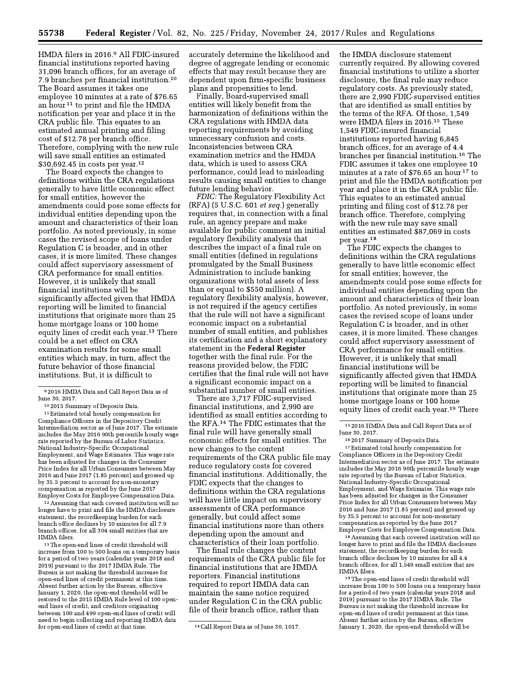HMDA filers in 2016.<sup>9</sup> All FDIC-insured financial institutions reported having 31,096 branch offices, for an average of 7.9 branches per financial institution.<sup>10</sup> The Board assumes it takes one employee 10 minutes at a rate of \$76.65 an hour<sup>11</sup> to print and file the HMDA notification per year and place it in the CRA public file. This equates to an estimated annual printing and filing cost of \$12.78 per branch office. Therefore, complying with the new rule will save small entities an estimated \$30,692.45 in costs per year.<sup>12</sup>

The Board expects the changes to definitions within the CRA regulations generally to have little economic effect for small entities, however the amendments could pose some effects for individual entities depending upon the amount and characteristics of their loan portfolio. As noted previously, in some cases the revised scope of loans under Regulation C is broader, and in other cases, it is more limited. These changes could affect supervisory assessment of CRA performance for small entities. However, it is unlikely that small financial institutions will be significantly affected given that HMDA reporting will be limited to financial institutions that originate more than 25 home mortgage loans or 100 home equity lines of credit each year.<sup>13</sup> There could be a net effect on CRA examination results for some small entities which may, in turn, affect the future behavior of those financial institutions. But, it is difficult to

<sup>11</sup> Estimated total hourly compensation for Compliance Officers in the Depository Credit Intermediation sector as of June 2017. The estimate includes the May 2016 90th percentile hourly wage rate reported by the Bureau of Labor Statistics, National Industry-Specific Occupational Employment, and Wage Estimates. This wage rate has been adjusted for changes in the Consumer Price Index for all Urban Consumers between May 2016 and June 2017 (1.85 percent) and grossed up by 35.5 percent to account for non-monetary compensation as reported by the June 2017 Employer Costs for Employee Compensation Data.

<sup>12</sup> Assuming that each covered institution will no longer have to print and file the HMDA disclosure statement, the recordkeeping burden for each branch office declines by 10 minutes for all 7.9 branch offices, for all 304 small entities that are HMDA filers.

<sup>13</sup> The open-end lines of credit threshold will increase from 100 to 500 loans on a temporary basis for a period of two years (calendar years 2018 and 2019) pursuant to the 2017 HMDA Rule. The Bureau is not making the threshold increase for open-end lines of credit permanent at this time. Absent further action by the Bureau, effective January 1, 2020, the open-end threshold will be restored to the 2015 HMDA Rule level of 100 openend lines of credit, and creditors originating between 100 and 499 open-end lines of credit will need to begin collecting and reporting HMDA data for open-end lines of credit at that time.

accurately determine the likelihood and degree of aggregate lending or economic effects that may result because they are dependent upon firm-specific business plans and propensities to lend.

Finally, Board-supervised small entities will likely benefit from the harmonization of definitions within the CRA regulations with HMDA data reporting requirements by avoiding unnecessary confusion and costs. Inconsistencies between CRA examination metrics and the HMDA data, which is used to assess CRA performance, could lead to misleading results causing small entities to change future lending behavior.

FDIC: The Regulatory Flexibility Act (RFA) (5 U.S.C. 601 et seq.) generally requires that, in connection with a final rule, an agency prepare and make available for public comment an initial regulatory flexibility analysis that describes the impact of a final rule on small entities (defined in regulations promulgated by the Small Business Administration to include banking organizations with total assets of less than or equal to \$550 million). A regulatory flexibility analysis, however, is not required if the agency certifies that the rule will not have a significant economic impact on a substantial number of small entities, and publishes its certification and a short explanatory statement in the Federal Register together with the final rule. For the reasons provided below, the FDIC certifies that the final rule will not have a significant economic impact on a substantial number of small entities.

There are 3,717 FDIC-supervised financial institutions, and 2,990 are identified as small entities according to the RFA.<sup>14</sup> The FDIC estimates that the final rule will have generally small economic effects for small entities. The new changes to the content requirements of the CRA public file may reduce regulatory costs for covered financial institutions. Additionally, the FDIC expects that the changes to definitions within the CRA regulations will have little impact on supervisory assessments of CRA performance generally, but could affect some financial institutions more than others depending upon the amount and characteristics of their loan portfolio.

The final rule changes the content requirements of the CRA public file for financial institutions that are HMDA reporters. Financial institutions required to report HMDA data can maintain the same notice required under Regulation C in the CRA public file of their branch office, rather than

the HMDA disclosure statement currently required. By allowing covered financial institutions to utilize a shorter disclosure, the final rule may reduce regulatory costs. As previously stated, there are 2,990 FDIC-supervised entities that are identified as small entities by the terms of the RFA. Of those, 1,549 were HMDA filers in 2016.<sup>15</sup> These 1,549 FDIC-insured financial institutions reported having 6,845 branch offices, for an average of 4.4 branches per financial institution.<sup>16</sup> The FDIC assumes it takes one employee 10 minutes at a rate of \$76.65 an hour<sup>17</sup> to print and file the HMDA notification per year and place it in the CRA public file. This equates to an estimated annual printing and filing cost of \$12.78 per branch office. Therefore, complying with the new rule may save small entities an estimated \$87,069 in costs per year.<sup>18</sup>

The FDIC expects the changes to definitions within the CRA regulations generally to have little economic effect for small entities; however, the amendments could pose some effects for individual entities depending upon the amount and characteristics of their loan portfolio. As noted previously, in some cases the revised scope of loans under Regulation C is broader, and in other cases, it is more limited. These changes could affect supervisory assessment of CRA performance for small entities. However, it is unlikely that small financial institutions will be significantly affected given that HMDA reporting will be limited to financial institutions that originate more than 25 home mortgage loans or 100 home equity lines of credit each year.<sup>19</sup> There

<sup>16</sup> 2017 Summary of Deposits Data. <sup>17</sup> Estimated total hourly compensation for Compliance Officers in the Depository Credit Intermediation sector as of June 2017. The estimate includes the May 2016 90th percentile hourly wage rate reported by the Bureau of Labor Statistics, National Industry-Specific Occupational Employment, and Wage Estimates. This wage rate has been adjusted for changes in the Consumer Price Index for all Urban Consumers between May 2016 and June 2017 (1.85 percent) and grossed up by 35.5 percent to account for non-monetary compensation as reported by the June 2017 Employer Costs for Employee Compensation Data.

<sup>18</sup> Assuming that each covered institution will no longer have to print and file the HMDA disclosure statement, the recordkeeping burden for each branch office declines by 10 minutes for all 4.4 branch offices, for all 1,549 small entities that are HMDA filers.

<sup>19</sup> The open-end lines of credit threshold will increase from 100 to 500 loans on a temporary basis for a period of two years (calendar years 2018 and 2019) pursuant to the 2017 HMDA Rule. The Bureau is not making the threshold increase for open-end lines of credit permanent at this time. Absent further action by the Bureau, effective January 1, 2020, the open-end threshold will be

<sup>&</sup>lt;sup>9</sup> 2016 HMDA Data and Call Report Data as of June 30, 2017.

<sup>&</sup>lt;sup>10</sup> 2015 Summary of Deposits Data.

<sup>&</sup>lt;sup>14</sup> Call Report Data as of June 30, 1017.

 $^{\rm 15}$  2016 HMDA Data and Call Report Data as of June 30, 2017.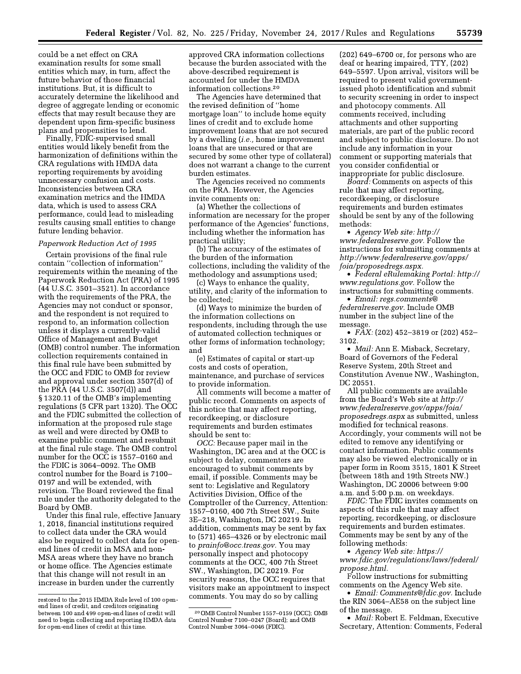could be a net effect on CRA examination results for some small entities which may, in turn, affect the future behavior of those financial institutions. But, it is difficult to accurately determine the likelihood and degree of aggregate lending or economic effects that may result because they are dependent upon firm-specific business plans and propensities to lend.

Finally, FDIC-supervised small entities would likely benefit from the harmonization of definitions within the CRA regulations with HMDA data reporting requirements by avoiding unnecessary confusion and costs. Inconsistencies between CRA examination metrics and the HMDA data, which is used to assess CRA performance, could lead to misleading results causing small entities to change future lending behavior.

# Paperwork Reduction Act of 1995

Certain provisions of the final rule contain "collection of information" requirements within the meaning of the Paperwork Reduction Act (PRA) of 1995 (44 U.S.C. 3501-3521). In accordance with the requirements of the PRA, the Agencies may not conduct or sponsor, and the respondent is not required to respond to, an information collection unless it displays a currently-valid Office of Management and Budget (OMB) control number. The information collection requirements contained in this final rule have been submitted by the OCC and FDIC to OMB for review and approval under section 3507(d) of the PRA  $(44 \text{ U.S.C. } 3507(d))$  and §1320.11 of the OMB's implementing regulations (5 CFR part 1320). The OCC and the FDIC submitted the collection of information at the proposed rule stage as well and were directed by OMB to examine public comment and resubmit at the final rule stage. The OMB control number for the OCC is 1557-0160 and the FDIC is 3064-0092. The OMB control number for the Board is 7100-0197 and will be extended, with revision. The Board reviewed the final rule under the authority delegated to the Board by OMB.

Under this final rule, effective January 1, 2018, financial institutions required to collect data under the CRA would also be required to collect data for openend lines of credit in MSA and non-MSA areas where they have no branch or home office. The Agencies estimate that this change will not result in an increase in burden under the currently

approved CRA information collections because the burden associated with the above-described requirement is accounted for under the HMDA information collections.<sup>20</sup>

The Agencies have determined that the revised definition of "home mortgage loan" to include home equity lines of credit and to exclude home improvement loans that are not secured by a dwelling  $(i.e., home improvement)$ loans that are unsecured or that are secured by some other type of collateral) does not warrant a change to the current burden estimates.

The Agencies received no comments on the PRA. However, the Agencies invite comments on:

(a) Whether the collections of information are necessary for the proper performance of the Agencies' functions, including whether the information has practical utility:

(b) The accuracy of the estimates of the burden of the information collections, including the validity of the methodology and assumptions used;

(c) Ways to enhance the quality, utility, and clarity of the information to be collected;

(d) Ways to minimize the burden of the information collections on respondents, including through the use of automated collection techniques or other forms of information technology; and

(e) Estimates of capital or start-up costs and costs of operation, maintenance, and purchase of services to provide information.

All comments will become a matter of public record. Comments on aspects of this notice that may affect reporting, recordkeeping, or disclosure requirements and burden estimates should be sent to:

OCC: Because paper mail in the Washington, DC area and at the OCC is subject to delay, commenters are encouraged to submit comments by email, if possible. Comments may be sent to: Legislative and Regulatory Activities Division, Office of the Comptroller of the Currency, Attention: 1557-0160, 400 7th Street SW., Suite 3E-218, Washington, DC 20219. In addition, comments may be sent by fax to (571) 465–4326 or by electronic mail to *prainfo@occ.treas.gov*. You may personally inspect and photocopy comments at the OCC, 400 7th Street SW., Washington, DC 20219. For security reasons, the OCC requires that visitors make an appointment to inspect comments. You may do so by calling

 $(202)$  649-6700 or, for persons who are deaf or hearing impaired, TTY, (202) 649–5597. Upon arrival, visitors will be required to present valid governmentissued photo identification and submit to security screening in order to inspect and photocopy comments. All comments received, including attachments and other supporting materials, are part of the public record and subject to public disclosure. Do not include any information in your comment or supporting materials that you consider confidential or inappropriate for public disclosure.

Board: Comments on aspects of this rule that may affect reporting, recordkeeping, or disclosure requirements and burden estimates should be sent by any of the following methods:

• Agency Web site: http:// www.federalreserve.gov. Follow the instructions for submitting comments at http://www.federalreserve.gov/apps/ foia/proposedregs.aspx.

• Federal eRulemaking Portal: http:// www.regulations.gov. Follow the instructions for submitting comments.

• Email: regs.comments@ federalreserve.gov. Include OMB number in the subject line of the message.

•  $\overline{FAX}$ : (202) 452–3819 or (202) 452– 3102.

· Mail: Ann E. Misback, Secretary, Board of Governors of the Federal Reserve System, 20th Street and Constitution Avenue NW., Washington, DC 20551.

All public comments are available from the Board's Web site at *http://* www.federalreserve.gov/apps/foia/ proposedregs.aspx as submitted, unless modified for technical reasons. Accordingly, your comments will not be edited to remove any identifying or contact information. Public comments may also be viewed electronically or in paper form in Room 3515, 1801 K Street (between 18th and 19th Streets NW.) Washington, DC 20006 between 9:00 a.m. and 5:00 p.m. on weekdays.

FDIC: The FDIC invites comments on aspects of this rule that may affect reporting, recordkeeping, or disclosure requirements and burden estimates. Comments may be sent by any of the following methods:

• Agency Web site: https:// www.fdic.gov/regulations/laws/federal/ propose.html.

Follow instructions for submitting comments on the Agency Web site.

• *Email: Comments@fdic.gov.* Include the RIN 3064–AE58 on the subject line of the message.

• *Mail:* Robert E. Feldman, Executive Secretary, Attention: Comments, Federal

restored to the 2015 HMDA Rule level of 100 openend lines of credit, and creditors originating between 100 and 499 open-end lines of credit will need to begin collecting and reporting HMDA data for open-end lines of credit at this time.

<sup>&</sup>lt;sup>20</sup> OMB Control Number 1557-0159 (OCC); OMB Control Number 7100-0247 (Board); and OMB Control Number 3064-0046 (FDIC).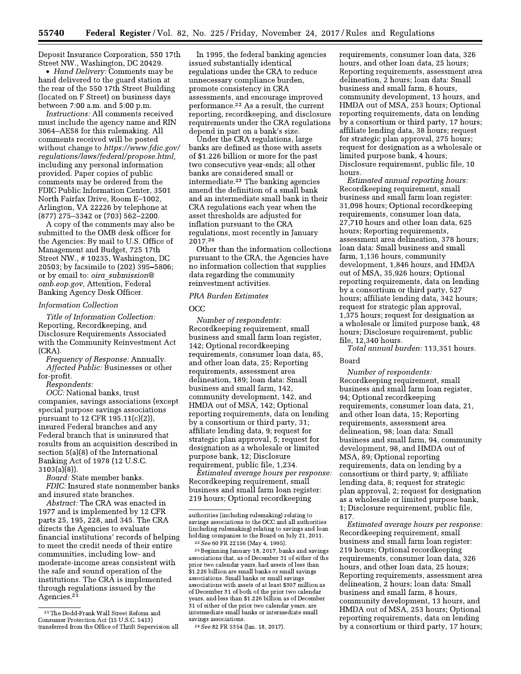Deposit Insurance Corporation, 550 17th Street NW., Washington, DC 20429.

• *Hand Delivery:* Comments may be hand delivered to the guard station at the rear of the 550 17th Street Building (located on F Street) on business days between 7:00 a.m. and 5:00 p.m.

*Instructions:* All comments received must include the agency name and RIN 3064-AE58 for this rulemaking. All comments received will be posted without change to https://www.fdic.gov/ regulations/laws/federal/propose.html, including any personal information provided. Paper copies of public comments may be ordered from the FDIC Public Information Center, 3501 North Fairfax Drive, Room E-1002, Arlington, VA 22226 by telephone at  $(877)$  275-3342 or  $(703)$  562-2200.

A copy of the comments may also be submitted to the OMB desk officer for the Agencies: By mail to U.S. Office of Management and Budget, 725 17th Street NW., #10235, Washington, DC 20503; by facsimile to (202) 395-5806; or by email to: oira submission@ omb.eop.gov, Attention, Federal Banking Agency Desk Officer.

# **Information Collection**

Title of Information Collection: Reporting, Recordkeeping, and Disclosure Requirements Associated with the Community Reinvestment Act  $(CRA)$ .

Frequency of Response: Annually. Affected Public: Businesses or other for-profit.

Respondents:

OCC: National banks, trust companies, savings associations (except special purpose savings associations pursuant to 12 CFR 195.11(c)(2)), insured Federal branches and any Federal branch that is uninsured that results from an acquisition described in section  $5(a)(8)$  of the International Banking Act of 1978 (12 U.S.C.  $3103(a)(8)$ ).

Board: State member banks. FDIC: Insured state nonmember banks and insured state branches.

Abstract: The CRA was enacted in 1977 and is implemented by 12 CFR parts 25, 195, 228, and 345. The CRA directs the Agencies to evaluate financial institutions' records of helping to meet the credit needs of their entire communities, including low- and moderate-income areas consistent with the safe and sound operation of the institutions. The CRA is implemented through regulations issued by the Agencies.<sup>21</sup>

In 1995, the federal banking agencies issued substantially identical regulations under the CRA to reduce unnecessary compliance burden, promote consistency in CRA assessments, and encourage improved performance.<sup>22</sup> As a result, the current reporting, record keeping, and disclosure requirements under the CRA regulations depend in part on a bank's size.

Under the CRA regulations, large banks are defined as those with assets of \$1.226 billion or more for the past two consecutive year-ends; all other banks are considered small or intermediate.<sup>23</sup> The banking agencies amend the definition of a small bank and an intermediate small bank in their CRA regulations each year when the asset thresholds are adjusted for inflation pursuant to the CRA regulations, most recently in January 2017.24

Other than the information collections pursuant to the CRA, the Agencies have no information collection that supplies data regarding the community reinvestment activities.

# PRA Burden Estimates

 $OCC$ 

Number of respondents: Recordkeeping requirement, small business and small farm loan register, 142; Optional recordkeeping requirements, consumer loan data, 85, and other loan data, 25; Reporting requirements, assessment area delineation, 189; loan data: Small business and small farm, 142, community development, 142, and HMDA out of MSA, 142; Optional reporting requirements, data on lending by a consortium or third party, 31; affiliate lending data, 9; request for strategic plan approval, 5; request for designation as a wholesale or limited purpose bank, 12; Disclosure requirement, public file, 1,234.

Estimated average hours per response: Recordkeeping requirement, small business and small farm loan register: 219 hours; Optional recordkeeping

<sup>23</sup> Beginning January 18, 2017, banks and savings associations that, as of December 31 of either of the prior two calendar years, had assets of less than \$1.226 billion are small banks or small savings associations. Small banks or small savings associations with assets of at least \$307 million as of December 31 of both of the prior two calendar years, and less than \$1.226 billion as of December 31 of either of the prior two calendar years, are intermediate small banks or intermediate small savings associations

requirements, consumer loan data, 326 hours, and other loan data, 25 hours; Reporting requirements, assessment area delineation, 2 hours; loan data: Small business and small farm, 8 hours, community development, 13 hours, and HMDA out of MSA, 253 hours; Optional reporting requirements, data on lending by a consortium or third party, 17 hours; affiliate lending data, 38 hours; request for strategic plan approval, 275 hours; request for designation as a wholesale or limited purpose bank, 4 hours; Disclosure requirement, public file, 10 hours.

Estimated annual reporting hours: Recordkeeping requirement, small business and small farm loan register: 31,098 hours; Optional recordkeeping requirements, consumer loan data, 27,710 hours and other loan data, 625 hours; Reporting requirements, assessment area delineation, 378 hours; loan data: Small business and small farm, 1,136 hours, community development, 1,846 hours, and HMDA out of MSA, 35,926 hours; Optional reporting requirements, data on lending by a consortium or third party, 527 hours; affiliate lending data, 342 hours; request for strategic plan approval, 1,375 hours; request for designation as a wholesale or limited purpose bank, 48 hours; Disclosure requirement, public file, 12,340 hours.

Total annual burden: 113,351 hours.

# **Board**

Number of respondents: Recordkeeping requirement, small business and small farm loan register, 94; Optional recordkeeping requirements, consumer loan data, 21, and other loan data, 15; Reporting requirements, assessment area delineation, 98; loan data: Small business and small farm, 94, community development, 98, and HMDA out of MSA, 89; Optional reporting requirements, data on lending by a consortium or third party, 9; affiliate lending data, 8; request for strategic plan approval, 2; request for designation as a wholesale or limited purpose bank, 1; Disclosure requirement, public file, 817

Estimated average hours per response: Recordkeeping requirement, small business and small farm loan register: 219 hours; Optional record keeping requirements, consumer loan data, 326 hours, and other loan data, 25 hours; Reporting requirements, assessment area delineation, 2 hours; loan data: Small business and small farm, 8 hours, community development, 13 hours, and HMDA out of MSA, 253 hours; Optional reporting requirements, data on lending by a consortium or third party, 17 hours;

<sup>&</sup>lt;sup>21</sup> The Dodd-Frank Wall Street Reform and Consumer Protection Act (15 U.S.C. 5413) transferred from the Office of Thrift Supervision all

authorities (including rulemaking) relating to savings associations to the OCC and all authorities (including rulemaking) relating to savings and loan holding companies to the Board on July 21, 2011. <sup>22</sup> See 60 FR 22156 (May 4, 1995).

<sup>&</sup>lt;sup>24</sup> See 82 FR 5354 (Jan. 18, 2017).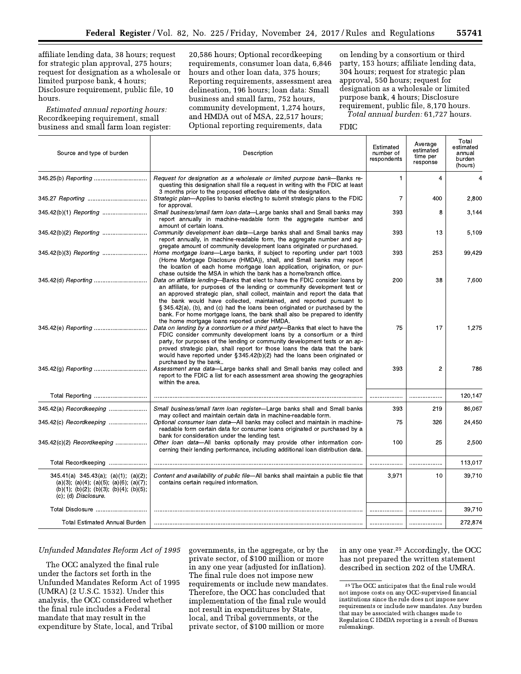affiliate lending data, 38 hours; request for strategic plan approval, 275 hours; request for designation as a wholesale or limited purpose bank, 4 hours; Disclosure requirement, public file, 10 hours.

Estimated annual reporting hours: Recordkeeping requirement, small business and small farm loan register:

20,586 hours; Optional recordkeeping requirements, consumer loan data, 6,846 hours and other loan data, 375 hours; Reporting requirements, assessment area delineation, 196 hours; loan data: Small business and small farm, 752 hours, community development, 1,274 hours, and HMDA out of MSA, 22,517 hours; Optional reporting requirements, data

on lending by a consortium or third party, 153 hours; affiliate lending data, 304 hours; request for strategic plan approval, 550 hours; request for designation as a wholesale or limited purpose bank, 4 hours; Disclosure requirement, public file, 8,170 hours. Total annual burden: 61,727 hours.

**FDIC** 

| Source and type of burden                                                                                                                                                                   | Description                                                                                                                                                                                                                                                                                                                                                                                                                                                                                                                     | Estimated<br>number of<br>respondents | Average<br>estimated<br>time per<br>response | Total<br>estimated<br>annual<br>burden<br>(hours) |
|---------------------------------------------------------------------------------------------------------------------------------------------------------------------------------------------|---------------------------------------------------------------------------------------------------------------------------------------------------------------------------------------------------------------------------------------------------------------------------------------------------------------------------------------------------------------------------------------------------------------------------------------------------------------------------------------------------------------------------------|---------------------------------------|----------------------------------------------|---------------------------------------------------|
|                                                                                                                                                                                             | Request for designation as a wholesale or limited purpose bank—Banks re-<br>questing this designation shall file a request in writing with the FDIC at least<br>3 months prior to the proposed effective date of the designation.                                                                                                                                                                                                                                                                                               | 1                                     | $\overline{4}$                               | $\overline{4}$                                    |
|                                                                                                                                                                                             | Strategic plan-Applies to banks electing to submit strategic plans to the FDIC<br>for approval.                                                                                                                                                                                                                                                                                                                                                                                                                                 | $\overline{7}$                        | 400                                          | 2,800                                             |
|                                                                                                                                                                                             | Small business/small farm loan data-Large banks shall and Small banks may<br>report annually in machine-readable form the aggregate number and<br>amount of certain loans.                                                                                                                                                                                                                                                                                                                                                      | 393                                   | 8                                            | 3,144                                             |
|                                                                                                                                                                                             | Community development loan data-Large banks shall and Small banks may<br>report annually, in machine-readable form, the aggregate number and ag-<br>gregate amount of community development loans originated or purchased.                                                                                                                                                                                                                                                                                                      | 393                                   | 13                                           | 5,109                                             |
|                                                                                                                                                                                             | Home mortgage loans-Large banks, if subject to reporting under part 1003<br>(Home Mortgage Disclosure (HMDA)), shall, and Small banks may report<br>the location of each home mortgage loan application, origination, or pur-<br>chase outside the MSA in which the bank has a home/branch office.                                                                                                                                                                                                                              | 393                                   | 253                                          | 99.429                                            |
|                                                                                                                                                                                             | Data on affiliate lending-Banks that elect to have the FDIC consider loans by<br>an affiliate, for purposes of the lending or community development test or<br>an approved strategic plan, shall collect, maintain and report the data that<br>the bank would have collected, maintained, and reported pursuant to<br>§ 345.42(a), (b), and (c) had the loans been originated or purchased by the<br>bank. For home mortgage loans, the bank shall also be prepared to identify<br>the home mortgage loans reported under HMDA. | 200                                   | 38                                           | 7,600                                             |
|                                                                                                                                                                                             | Data on lending by a consortium or a third party-Banks that elect to have the<br>FDIC consider community development loans by a consortium or a third<br>party, for purposes of the lending or community development tests or an ap-<br>proved strategic plan, shall report for those loans the data that the bank<br>would have reported under § 345.42(b)(2) had the loans been originated or<br>purchased by the bank                                                                                                        | 75                                    | 17                                           | 1,275                                             |
|                                                                                                                                                                                             | Assessment area data-Large banks shall and Small banks may collect and<br>report to the FDIC a list for each assessment area showing the geographies<br>within the area.                                                                                                                                                                                                                                                                                                                                                        | 393                                   | $\overline{2}$                               | 786                                               |
|                                                                                                                                                                                             |                                                                                                                                                                                                                                                                                                                                                                                                                                                                                                                                 |                                       |                                              | 120,147                                           |
| 345.42(a) Recordkeeping                                                                                                                                                                     | Small business/small farm loan register-Large banks shall and Small banks<br>may collect and maintain certain data in machine-readable form.                                                                                                                                                                                                                                                                                                                                                                                    | 393                                   | 219                                          | 86,067                                            |
| 345.42(c) Recordkeeping                                                                                                                                                                     | Optional consumer loan data-All banks may collect and maintain in machine-<br>readable form certain data for consumer loans originated or purchased by a                                                                                                                                                                                                                                                                                                                                                                        | 75                                    | 326                                          | 24,450                                            |
| 345.42(c)(2) Recordkeeping                                                                                                                                                                  | bank for consideration under the lending test.<br>Other loan data-All banks optionally may provide other information con-<br>cerning their lending performance, including additional loan distribution data.                                                                                                                                                                                                                                                                                                                    | 100                                   | 25                                           | 2,500                                             |
| Total Recordkeeping                                                                                                                                                                         |                                                                                                                                                                                                                                                                                                                                                                                                                                                                                                                                 |                                       |                                              | 113,017                                           |
| $345.41(a)$ $345.43(a)$ ; $(a)(1)$ ; $(a)(2)$ ;<br>$(a)(3)$ , $(a)(4)$ ; $(a)(5)$ , $(a)(6)$ ; $(a)(7)$ ;<br>$(b)(1)$ ; $(b)(2)$ ; $(b)(3)$ ; $(b)(4)$ ; $(b)(5)$ ;<br>(c); (d) Disclosure. | Content and availability of public file-All banks shall maintain a public file that<br>contains certain required information.                                                                                                                                                                                                                                                                                                                                                                                                   | 3,971                                 | 10                                           | 39,710                                            |
| Total Disclosure                                                                                                                                                                            |                                                                                                                                                                                                                                                                                                                                                                                                                                                                                                                                 |                                       |                                              | 39,710                                            |
| <b>Total Estimated Annual Burden</b>                                                                                                                                                        |                                                                                                                                                                                                                                                                                                                                                                                                                                                                                                                                 |                                       |                                              | 272,874                                           |

#### Unfunded Mandates Reform Act of 1995

The OCC analyzed the final rule under the factors set forth in the Unfunded Mandates Reform Act of 1995 (UMRA) (2 U.S.C. 1532). Under this analysis, the OCC considered whether the final rule includes a Federal mandate that may result in the expenditure by State, local, and Tribal

governments, in the aggregate, or by the private sector, of \$100 million or more in any one year (adjusted for inflation). The final rule does not impose new requirements or include new mandates. Therefore, the OCC has concluded that implementation of the final rule would not result in expenditures by State, local, and Tribal governments, or the private sector, of \$100 million or more

in any one year.<sup>25</sup> Accordingly, the OCC has not prepared the written statement described in section 202 of the UMRA.

 $^{\rm 25}$  The OCC anticipates that the final rule would not impose costs on any OCC-supervised financial institutions since the rule does not impose new requirements or include new mandates. Any burden that may be associated with changes made to Regulation C HMDA reporting is a result of Bureau rulemakings.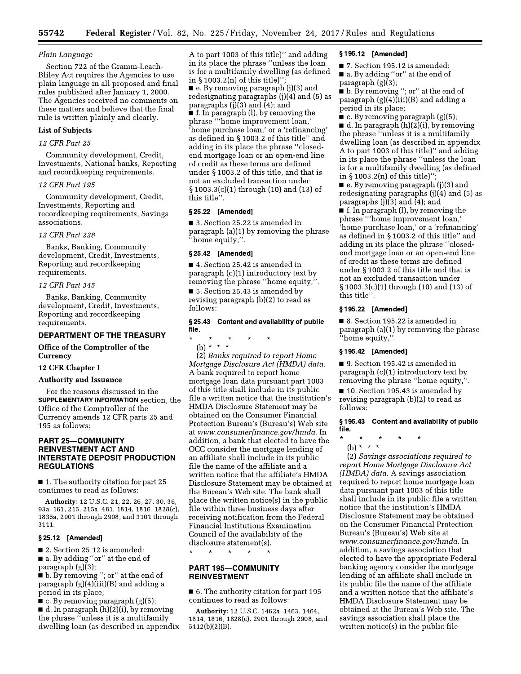# Plain Language

Section 722 of the Gramm-Leach-Bliley Act requires the Agencies to use plain language in all proposed and final rules published after January 1, 2000. The Agencies received no comments on these matters and believe that the final rule is written plainly and clearly.

# **List of Subjects**

# 12 CFR Part 25

Community development, Credit, Investments, National banks, Reporting and recordkeeping requirements.

# 12 CFR Part 195

Community development, Credit, Investments, Reporting and recordkeeping requirements, Savings associations.

### 12 CFR Part 228

Banks, Banking, Community development, Credit, Investments, Reporting and recordkeeping requirements.

### 12 CFR Part 345

Banks, Banking, Community development, Credit, Investments, Reporting and recordkeeping requirements.

# **DEPARTMENT OF THE TREASURY**

# Office of the Comptroller of the **Currency**

# 12 CFR Chapter I

# **Authority and Issuance**

For the reasons discussed in the **SUPPLEMENTARY INFORMATION** section, the Office of the Comptroller of the Currency amends 12 CFR parts 25 and 195 as follows:

# **PART 25-COMMUNITY REINVESTMENT ACT AND INTERSTATE DEPOSIT PRODUCTION REGULATIONS**

 $\blacksquare$  1. The authority citation for part 25 continues to read as follows:

Authority: 12 U.S.C. 21, 22, 26, 27, 30, 36, 93a, 161, 215, 215a, 481, 1814, 1816, 1828(c), 1835a, 2901 through 2908, and 3101 through 3111.

### $§25.12$  [Amended]

2. Section 25.12 is amended: a. By adding "or" at the end of paragraph  $(g)(3)$ ;

**b**. By removing "; or" at the end of paragraph  $(g)(4)(iii)(B)$  and adding a period in its place;

 $\bullet$  c. By removing paragraph (g)(5);

d. In paragraph  $(h)(2)(i)$ , by removing the phrase "unless it is a multifamily dwelling loan (as described in appendix

A to part 1003 of this title)" and adding in its place the phrase "unless the loan is for a multifamily dwelling (as defined in  $\S 1003.2(n)$  of this title)"; e. By removing paragraph (j)(3) and redesignating paragraphs  $(i)(4)$  and  $(5)$  as paragraphs  $(j)(3)$  and  $(4)$ ; and  $\blacksquare$  f. In paragraph (l), by removing the phrase "home improvement loan," 'home purchase loan,' or a 'refinancing' as defined in §1003.2 of this title" and adding in its place the phrase "closedend mortgage loan or an open-end line of credit as these terms are defined under §1003.2 of this title, and that is not an excluded transaction under § 1003.3(c)(1) through (10) and (13) of this title".

### §25.22 [Amended]

■ 3. Section 25.22 is amended in paragraph  $(a)(1)$  by removing the phrase "home equity,".

### § 25.42 [Amended]

4. Section 25.42 is amended in paragraph  $(c)(1)$  introductory text by removing the phrase "home equity,".

5. Section 25.43 is amended by revising paragraph (b)(2) to read as follows:

# §25.43 Content and availability of public file.

 $\star$ (b) \* \* \*

(2) Banks required to report Home Mortgage Disclosure Act (HMDA) data. A bank required to report home mortgage loan data pursuant part 1003 of this title shall include in its public file a written notice that the institution's HMDA Disclosure Statement may be obtained on the Consumer Financial Protection Bureau's (Bureau's) Web site at www.consumerfinance.gov/hmda. In addition, a bank that elected to have the OCC consider the mortgage lending of an affiliate shall include in its public file the name of the affiliate and a written notice that the affiliate's HMDA Disclosure Statement may be obtained at the Bureau's Web site. The bank shall place the written notice(s) in the public file within three business days after receiving notification from the Federal Financial Institutions Examination Council of the availability of the disclosure statement(s).

 $\star$  $\ddot{\phantom{1}}$ 

# **PART 195-COMMUNITY REINVESTMENT**

6. The authority citation for part 195 continues to read as follows:

Authority: 12 U.S.C. 1462a, 1463, 1464, 1814, 1816, 1828(c), 2901 through 2908, and  $5412(b)(2)(B)$ .

# §195.12 [Amended]

■ 7. Section 195.12 is amended: a. By adding "or" at the end of paragraph  $(g)(3)$ ;

b. By removing "; or" at the end of paragraph  $(g)(4)(iii)(B)$  and adding a period in its place;

 $\bullet$  c. By removing paragraph (g)(5);  $\blacksquare$  d. In paragraph  $(h)(2)(i)$ , by removing the phrase "unless it is a multifamily dwelling loan (as described in appendix A to part 1003 of this title)" and adding in its place the phrase "unless the loan is for a multifamily dwelling (as defined in  $\S 1003.2(n)$  of this title)";

■ e. By removing paragraph (j)(3) and redesignating paragraphs  $(j)(4)$  and  $(5)$  as paragraphs  $(j)(3)$  and  $(4)$ ; and

**f**. In paragraph (l), by removing the phrase "'home improvement loan,' home purchase loan,' or a 'refinancing' as defined in §1003.2 of this title" and adding in its place the phrase "closedend mortgage loan or an open-end line of credit as these terms are defined under §1003.2 of this title and that is not an excluded transaction under § 1003.3(c)(1) through (10) and (13) of this title".

## §195.22 [Amended]

■ 8. Section 195.22 is amended in paragraph (a)(1) by removing the phrase "home equity,".

# §195.42 [Amended]

9. Section 195.42 is amended in paragraph  $(c)(1)$  introductory text by removing the phrase "home equity,".

10. Section 195.43 is amended by revising paragraph (b)(2) to read as follows:

#### §195.43 Content and availability of public file.

(b) \* \* \* (2) Savings associations required to report Home Mortgage Disclosure Act (HMDA) data. A savings association required to report home mortgage loan data pursuant part 1003 of this title shall include in its public file a written notice that the institution's HMDA Disclosure Statement may be obtained on the Consumer Financial Protection Bureau's (Bureau's) Web site at www.consumerfinance.gov/hmda. In addition, a savings association that elected to have the appropriate Federal banking agency consider the mortgage lending of an affiliate shall include in its public file the name of the affiliate and a written notice that the affiliate's HMDA Disclosure Statement may be

obtained at the Bureau's Web site. The savings association shall place the written notice(s) in the public file